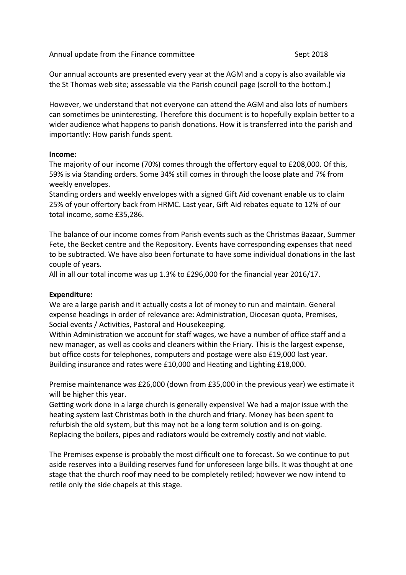Annual update from the Finance committee Sept 2018

Our annual accounts are presented every year at the AGM and a copy is also available via the St Thomas web site; assessable via the Parish council page (scroll to the bottom.)

However, we understand that not everyone can attend the AGM and also lots of numbers can sometimes be uninteresting. Therefore this document is to hopefully explain better to a wider audience what happens to parish donations. How it is transferred into the parish and importantly: How parish funds spent.

## **Income:**

The majority of our income (70%) comes through the offertory equal to £208,000. Of this, 59% is via Standing orders. Some 34% still comes in through the loose plate and 7% from weekly envelopes.

Standing orders and weekly envelopes with a signed Gift Aid covenant enable us to claim 25% of your offertory back from HRMC. Last year, Gift Aid rebates equate to 12% of our total income, some £35,286.

The balance of our income comes from Parish events such as the Christmas Bazaar, Summer Fete, the Becket centre and the Repository. Events have corresponding expenses that need to be subtracted. We have also been fortunate to have some individual donations in the last couple of years.

All in all our total income was up 1.3% to £296,000 for the financial year 2016/17.

## **Expenditure:**

We are a large parish and it actually costs a lot of money to run and maintain. General expense headings in order of relevance are: Administration, Diocesan quota, Premises, Social events / Activities, Pastoral and Housekeeping.

Within Administration we account for staff wages, we have a number of office staff and a new manager, as well as cooks and cleaners within the Friary. This is the largest expense, but office costs for telephones, computers and postage were also £19,000 last year. Building insurance and rates were £10,000 and Heating and Lighting £18,000.

Premise maintenance was £26,000 (down from £35,000 in the previous year) we estimate it will be higher this year.

Getting work done in a large church is generally expensive! We had a major issue with the heating system last Christmas both in the church and friary. Money has been spent to refurbish the old system, but this may not be a long term solution and is on-going. Replacing the boilers, pipes and radiators would be extremely costly and not viable.

The Premises expense is probably the most difficult one to forecast. So we continue to put aside reserves into a Building reserves fund for unforeseen large bills. It was thought at one stage that the church roof may need to be completely retiled; however we now intend to retile only the side chapels at this stage.